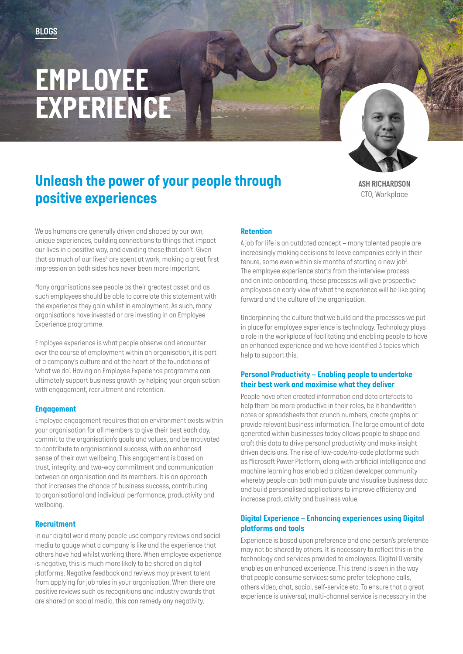# *EMPLOYEE EXPERIENCE*



# *Unleash the power of your people through positive experiences*

*ASH RICHARDSON CTO, Workplace*

*We as humans are generally driven and shaped by our own, unique experiences, building connections to things that impact our lives in a positive way, and avoiding those that don't. Given that so much of our lives1 are spent at work, making a great first impression on both sides has never been more important.* 

*Many organisations see people as their greatest asset and as such employees should be able to correlate this statement with the experience they gain whilst in employment. As such, many organisations have invested or are investing in an Employee Experience programme.* 

*Employee experience is what people observe and encounter over the course of employment within an organisation, it is part of a company's culture and at the heart of the foundations of 'what we do'. Having an Employee Experience programme can ultimately support business growth by helping your organisation with engagement, recruitment and retention.*

# *Engagement*

*Employee engagement requires that an environment exists within your organisation for all members to give their best each day, commit to the organisation's goals and values, and be motivated to contribute to organisational success, with an enhanced sense of their own wellbeing. This engagement is based on trust, integrity, and two-way commitment and communication between an organisation and its members. It is an approach that increases the chance of business success, contributing to organisational and individual performance, productivity and wellbeing.* 

### *Recruitment*

*In our digital world many people use company reviews and social media to gauge what a company is like and the experience that others have had whilst working there. When employee experience is negative, this is much more likely to be shared on digital platforms. Negative feedback and reviews may prevent talent from applying for job roles in your organisation. When there are positive reviews such as recognitions and industry awards that are shared on social media, this can remedy any negativity.*

# *Retention*

*A job for life is an outdated concept – many talented people are increasingly making decisions to leave companies early in their tenure, some even within six months of starting a new job2 . The employee experience starts from the interview process and on into onboarding, these processes will give prospective*  employees an early view of what the experience will be like going *forward and the culture of the organisation.*

*Underpinning the culture that we build and the processes we put in place for employee experience is technology. Technology plays a role in the workplace of facilitating and enabling people to have an enhanced experience and we have identified 3 topics which help to support this.*

### *Personal Productivity – Enabling people to undertake their best work and maximise what they deliver*

*People have often created information and data artefacts to help them be more productive in their roles, be it handwritten notes or spreadsheets that crunch numbers, create graphs or provide relevant business information. The large amount of data generated within businesses today allows people to shape and craft this data to drive personal productivity and make insight driven decisions. The rise of low-code/no-code platforms such as Microsoft Power Platform, along with artificial intelligence and machine learning has enabled a citizen developer community whereby people can both manipulate and visualise business data and build personalised applications to improve efficiency and increase productivity and business value.*

#### *Digital Experience – Enhancing experiences using Digital platforms and tools*

*Experience is based upon preference and one person's preference may not be shared by others. It is necessary to reflect this in the technology and services provided to employees. Digital Diversity enables an enhanced experience. This trend is seen in the way that people consume services; some prefer telephone calls, others video, chat, social, self-service etc. To ensure that a great experience is universal, multi-channel service is necessary in the*